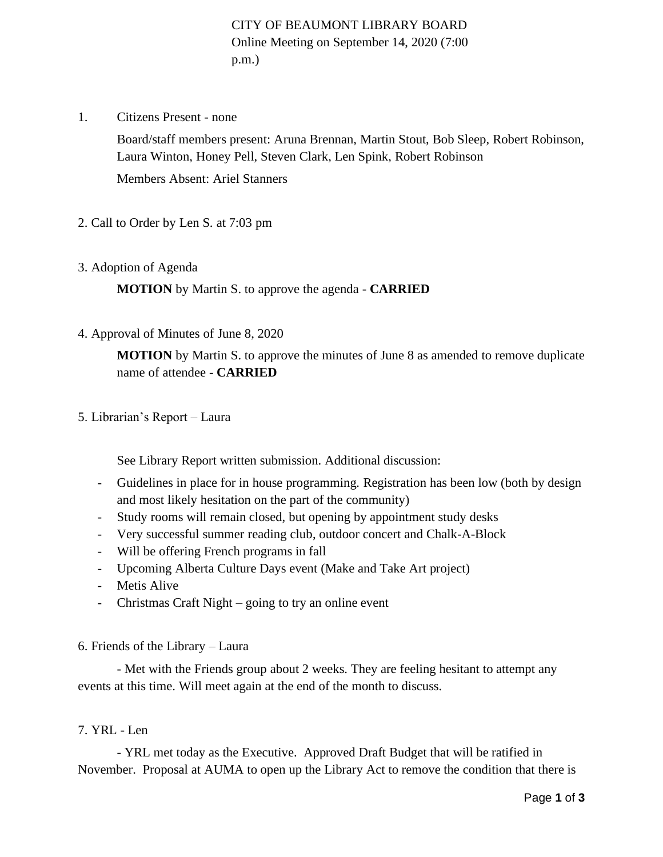CITY OF BEAUMONT LIBRARY BOARD Online Meeting on September 14, 2020 (7:00 p.m.)

1. Citizens Present - none

Board/staff members present: Aruna Brennan, Martin Stout, Bob Sleep, Robert Robinson, Laura Winton, Honey Pell, Steven Clark, Len Spink, Robert Robinson

Members Absent: Ariel Stanners

- 2. Call to Order by Len S. at 7:03 pm
- 3. Adoption of Agenda

**MOTION** by Martin S. to approve the agenda - **CARRIED**

4. Approval of Minutes of June 8, 2020

**MOTION** by Martin S. to approve the minutes of June 8 as amended to remove duplicate name of attendee - **CARRIED**

5. Librarian's Report – Laura

See Library Report written submission. Additional discussion:

- Guidelines in place for in house programming. Registration has been low (both by design and most likely hesitation on the part of the community)
- Study rooms will remain closed, but opening by appointment study desks
- Very successful summer reading club, outdoor concert and Chalk-A-Block
- Will be offering French programs in fall
- Upcoming Alberta Culture Days event (Make and Take Art project)
- Metis Alive
- Christmas Craft Night going to try an online event

6. Friends of the Library – Laura

- Met with the Friends group about 2 weeks. They are feeling hesitant to attempt any events at this time. Will meet again at the end of the month to discuss.

#### 7. YRL - Len

- YRL met today as the Executive. Approved Draft Budget that will be ratified in November. Proposal at AUMA to open up the Library Act to remove the condition that there is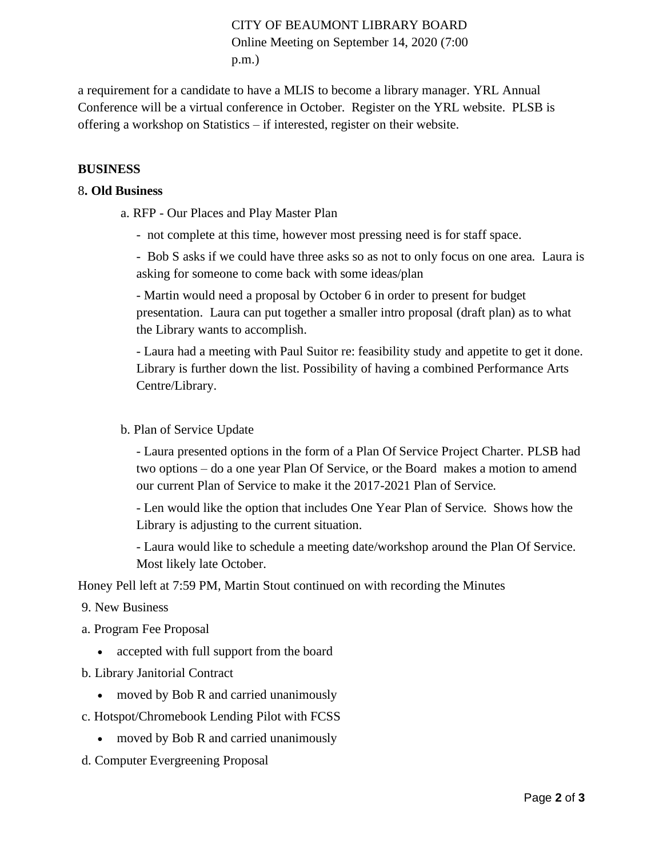# CITY OF BEAUMONT LIBRARY BOARD Online Meeting on September 14, 2020 (7:00 p.m.)

a requirement for a candidate to have a MLIS to become a library manager. YRL Annual Conference will be a virtual conference in October. Register on the YRL website. PLSB is offering a workshop on Statistics – if interested, register on their website.

### **BUSINESS**

#### 8**. Old Business**

- a. RFP Our Places and Play Master Plan
	- not complete at this time, however most pressing need is for staff space.

- Bob S asks if we could have three asks so as not to only focus on one area. Laura is asking for someone to come back with some ideas/plan

- Martin would need a proposal by October 6 in order to present for budget presentation. Laura can put together a smaller intro proposal (draft plan) as to what the Library wants to accomplish.

- Laura had a meeting with Paul Suitor re: feasibility study and appetite to get it done. Library is further down the list. Possibility of having a combined Performance Arts Centre/Library.

#### b. Plan of Service Update

- Laura presented options in the form of a Plan Of Service Project Charter. PLSB had two options – do a one year Plan Of Service, or the Board makes a motion to amend our current Plan of Service to make it the 2017-2021 Plan of Service.

- Len would like the option that includes One Year Plan of Service. Shows how the Library is adjusting to the current situation.

- Laura would like to schedule a meeting date/workshop around the Plan Of Service. Most likely late October.

Honey Pell left at 7:59 PM, Martin Stout continued on with recording the Minutes

- 9. New Business
- a. Program Fee Proposal
	- accepted with full support from the board
- b. Library Janitorial Contract
	- moved by Bob R and carried unanimously
- c. Hotspot/Chromebook Lending Pilot with FCSS
	- moved by Bob R and carried unanimously
- d. Computer Evergreening Proposal